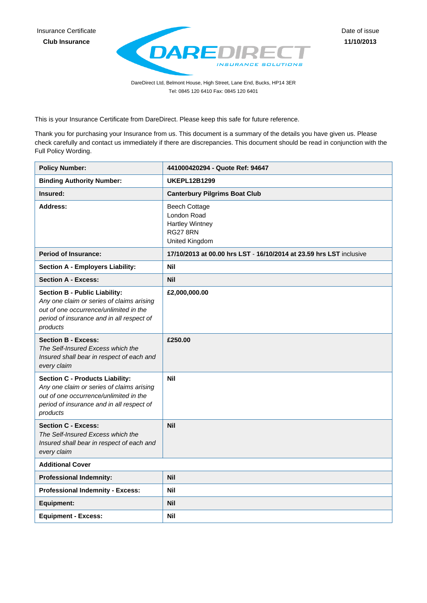

DareDirect Ltd, Belmont House, High Street, Lane End, Bucks, HP14 3ER Tel: 0845 120 6410 Fax: 0845 120 6401

This is your Insurance Certificate from DareDirect. Please keep this safe for future reference.

Thank you for purchasing your Insurance from us. This document is a summary of the details you have given us. Please check carefully and contact us immediately if there are discrepancies. This document should be read in conjunction with the Full Policy Wording.

| <b>Policy Number:</b>                                                                                                                                                                  | 441000420294 - Quote Ref: 94647                                                                    |
|----------------------------------------------------------------------------------------------------------------------------------------------------------------------------------------|----------------------------------------------------------------------------------------------------|
| <b>Binding Authority Number:</b>                                                                                                                                                       | <b>UKEPL12B1299</b>                                                                                |
| Insured:                                                                                                                                                                               | <b>Canterbury Pilgrims Boat Club</b>                                                               |
| <b>Address:</b>                                                                                                                                                                        | <b>Beech Cottage</b><br>London Road<br><b>Hartley Wintney</b><br><b>RG27 8RN</b><br>United Kingdom |
| <b>Period of Insurance:</b>                                                                                                                                                            | 17/10/2013 at 00.00 hrs LST - 16/10/2014 at 23.59 hrs LST inclusive                                |
| <b>Section A - Employers Liability:</b>                                                                                                                                                | <b>Nil</b>                                                                                         |
| <b>Section A - Excess:</b>                                                                                                                                                             | Nil                                                                                                |
| <b>Section B - Public Liability:</b><br>Any one claim or series of claims arising<br>out of one occurrence/unlimited in the<br>period of insurance and in all respect of<br>products   | £2,000,000.00                                                                                      |
| <b>Section B - Excess:</b><br>The Self-Insured Excess which the<br>Insured shall bear in respect of each and<br>every claim                                                            | £250.00                                                                                            |
| <b>Section C - Products Liability:</b><br>Any one claim or series of claims arising<br>out of one occurrence/unlimited in the<br>period of insurance and in all respect of<br>products | <b>Nil</b>                                                                                         |
| <b>Section C - Excess:</b><br>The Self-Insured Excess which the<br>Insured shall bear in respect of each and<br>every claim                                                            | <b>Nil</b>                                                                                         |
| <b>Additional Cover</b>                                                                                                                                                                |                                                                                                    |
| <b>Professional Indemnity:</b>                                                                                                                                                         | <b>Nil</b>                                                                                         |
| <b>Professional Indemnity - Excess:</b>                                                                                                                                                | <b>Nil</b>                                                                                         |
| <b>Equipment:</b>                                                                                                                                                                      | Nil                                                                                                |
| <b>Equipment - Excess:</b>                                                                                                                                                             | Nil                                                                                                |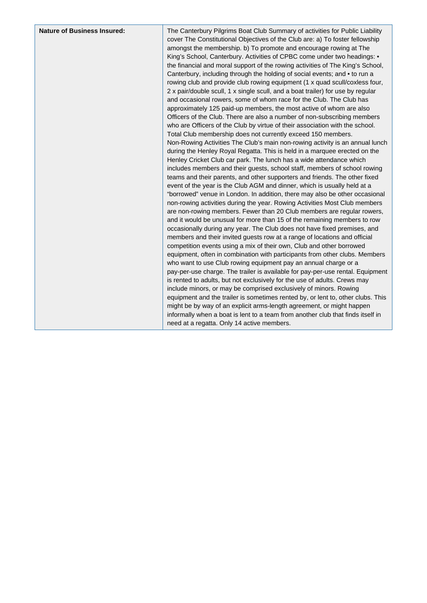The Canterbury Pilgrims Boat Club Summary of activities for Public Liability cover The Constitutional Objectives of the Club are: a) To foster fellowship amongst the membership. b) To promote and encourage rowing at The King's School, Canterbury. Activities of CPBC come under two headings: • the financial and moral support of the rowing activities of The King's School, Canterbury, including through the holding of social events; and • to run a rowing club and provide club rowing equipment (1 x quad scull/coxless four, 2 x pair/double scull, 1 x single scull, and a boat trailer) for use by regular and occasional rowers, some of whom race for the Club. The Club has approximately 125 paid-up members, the most active of whom are also Officers of the Club. There are also a number of non-subscribing members who are Officers of the Club by virtue of their association with the school. Total Club membership does not currently exceed 150 members. Non-Rowing Activities The Club's main non-rowing activity is an annual lunch during the Henley Royal Regatta. This is held in a marquee erected on the Henley Cricket Club car park. The lunch has a wide attendance which includes members and their guests, school staff, members of school rowing teams and their parents, and other supporters and friends. The other fixed event of the year is the Club AGM and dinner, which is usually held at a "borrowed" venue in London. In addition, there may also be other occasional non-rowing activities during the year. Rowing Activities Most Club members are non-rowing members. Fewer than 20 Club members are regular rowers, and it would be unusual for more than 15 of the remaining members to row occasionally during any year. The Club does not have fixed premises, and members and their invited guests row at a range of locations and official competition events using a mix of their own, Club and other borrowed equipment, often in combination with participants from other clubs. Members who want to use Club rowing equipment pay an annual charge or a pay-per-use charge. The trailer is available for pay-per-use rental. Equipment is rented to adults, but not exclusively for the use of adults. Crews may include minors, or may be comprised exclusively of minors. Rowing equipment and the trailer is sometimes rented by, or lent to, other clubs. This might be by way of an explicit arms-length agreement, or might happen informally when a boat is lent to a team from another club that finds itself in need at a regatta. Only 14 active members.